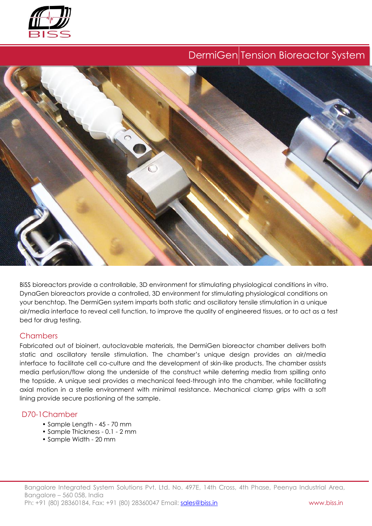

# DermiGen Tension Bioreactor System



BiSS bioreactors provide a controllable, 3D environment for stimulating physiological conditions in vitro. DynaGen bioreactors provide a controlled, 3D environment for stimulating physiological conditions on your benchtop. The DermiGen system imparts both static and oscillatory tensile stimulation in a unique air/media interface to reveal cell function, to improve the quality of engineered tissues, or to act as a test bed for drug testing.

## **Chambers**

Fabricated out of bioinert, autoclavable materials, the DermiGen bioreactor chamber delivers both static and oscillatory tensile stimulation. The chamber's unique design provides an air/media interface to facilitate cell co-culture and the development of skin-like products. The chamber assists media perfusion/flow along the underside of the construct while deterring media from spilling onto the topside. A unique seal provides a mechanical feed-through into the chamber, while facilitating axial motion in a sterile environment with minimal resistance. Mechanical clamp grips with a soft lining provide secure postioning of the sample.

## D70-1Chamber

- Sample Length 45 70 mm
- Sample Thickness 0.1 2 mm
- Sample Width 20 mm